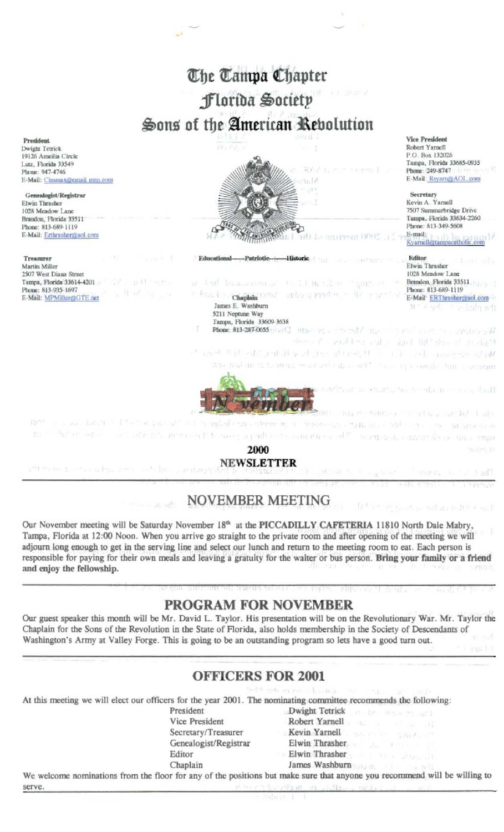

## **NOVEMBER MEETING**

**Communication** 

Our November meeting will be Saturday November 18th at the PICCADILLY CAFETERIA 11810 North Dale Mabry, Tampa, Florida at 12:00 Noon. When you arrive go straight to the private room and after opening of the meeting we will adjourn long enough to get in the serving line and select our lunch and return to the meeting room to eat. Each person is responsible for paying for their own meals and leaving a gratuity for the waiter or bus person. Bring your family or a friend and enjoy the fellowship.

## **PROGRAM FOR NOVEMBER**

Our guest speaker this month will be Mr. David L. Taylor. His presentation will be on the Revolutionary War. Mr. Taylor the Chaplain for the Sons of the Revolution in the State of Florida, also holds membership in the Society of Descendants of Washington's Army at Valley Forge. This is going to be an outstanding program so lets have a good turn out.

## **OFFICERS FOR 2001**

At this meeting we will elect our officers for the year 2001. The nominating committee recommends the following:

- President Vice President Secretary/Treasurer Genealogist/Registrar Editor Chaplain
- Dwight Tetrick and the angle of Robert Yarnell Kevin Yarnell Elwin Thrasher Elwin Thrasher James Washburn

rd. sama

While while instruments AM Planet

We welcome nominations from the floor for any of the positions but make sure that anyone you recommend will be willing to serve.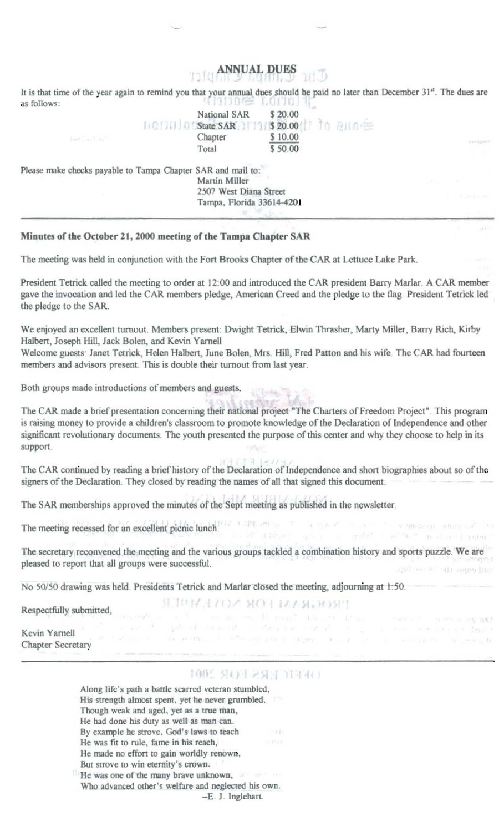# **ANNUAL DUES**

It is that time of the year again to remind you that your annual dues should be paid no later than December 31". The dues are

| as follows:                                                  | a mana a resoluto in Canal a chiesa del             |                    |           |
|--------------------------------------------------------------|-----------------------------------------------------|--------------------|-----------|
|                                                              | National SAR                                        | \$20.00            |           |
|                                                              | [101]<br>State SAR                                  | \$20.00 1 10 200 = |           |
| Just Louis and                                               | Chapter                                             | \$10.00            | Immitatio |
|                                                              | Total                                               | \$50.00            |           |
| Please make checks payable to Tampa Chapter SAR and mail to: |                                                     |                    |           |
|                                                              | Martin Miller                                       |                    |           |
|                                                              | 2507 West Diana Street<br>Tampa, Florida 33614-4201 |                    |           |
|                                                              |                                                     |                    |           |
|                                                              |                                                     |                    |           |

#### Minutes of the October 21, 2000 meeting of the Tampa Chapter SAR

The meeting was held in conjunction with the Fort Brooks Chapter of the CAR at Lettuce Lake Park.

President Tetrick called the meeting to order at 12:00 and introduced the CAR president Barry Marlar. A CAR member gave the invocation and led the CAR members pledge, American Creed and the pledge to the flag. President Tetrick led the pledge to the SAR.

We enjoyed an excellent turnout. Members present: Dwight Tetrick, Elwin Thrasher, Marty Miller, Barry Rich, Kirby Halbert, Joseph Hill, Jack Bolen, and Kevin Yarnell

Welcome guests: Janet Tetrick, Helen Halbert, June Bolen, Mrs. Hill, Fred Patton and his wife. The CAR had fourteen members and advisors present. This is double their turnout from last year.

Both groups made introductions of members and guests.

The CAR made a brief presentation concerning their national project "The Charters of Freedom Project". This program is raising money to provide a children's classroom to promote knowledge of the Declaration of Independence and other significant revolutionary documents. The youth presented the purpose of this center and why they choose to help in its support.

The CAR continued by reading a brief history of the Declaration of Independence and short biographies about so of the signers of the Declaration. They closed by reading the names of all that signed this document.

**IRA GEISEL** The SAR memberships approved the minutes of the Sept meeting as published in the newsletter.

The meeting recessed for an excellent picnic lunch. The first articles and the state of the state of the state of the state of the state of the state of the state of the state of the state of the state of the state of the

The secretary reconvened the meeting and the various groups tackled a combination history and sports puzzle. We are pleased to report that all groups were successful. againser to but veges had

**SERVENCE ROLLMAN, JOSPI** 

where intern in the an-

system of the matter of the first contract a special

Social St. Angelman

No 50/50 drawing was held. Presidents Tetrick and Marlar closed the meeting, adjourning at 1:50.

or TOTAL

Respectfully submitted,

Kevin Yarnell Chapter Secretary

 $E<sub>n</sub>$   $E<sub>n</sub>$   $\Omega<sub>n</sub>$ 

### **1002 SOPERSE MANU**

Along life's path a battle scarred veteran stumbled, His strength almost spent, yet he never grumbled. Though weak and aged, yet as a true man, He had done his duty as well as man can. By example he strove, God's laws to teach He was fit to rule, fame in his reach, He made no effort to gain worldly renown, But strove to win eternity's crown. He was one of the many brave unknown,

Who advanced other's welfare and neglected his own.

--E. J. Inglehart.